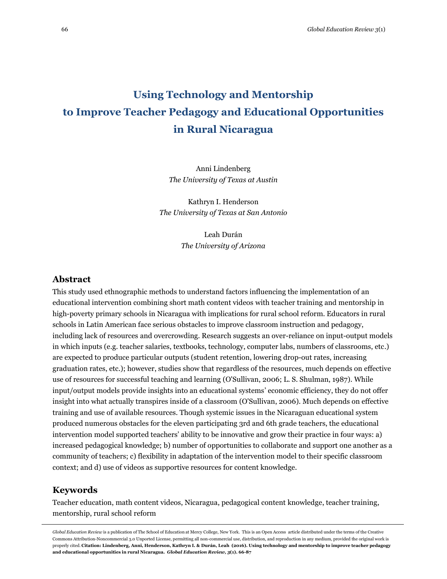# **Using Technology and Mentorship to Improve Teacher Pedagogy and Educational Opportunities in Rural Nicaragua**

Anni Lindenberg *The University of Texas at Austin*

Kathryn I. Henderson *The University of Texas at San Antonio*

> Leah Durán *The University of Arizona*

### **Abstract**

This study used ethnographic methods to understand factors influencing the implementation of an educational intervention combining short math content videos with teacher training and mentorship in high-poverty primary schools in Nicaragua with implications for rural school reform. Educators in rural schools in Latin American face serious obstacles to improve classroom instruction and pedagogy, including lack of resources and overcrowding. Research suggests an over-reliance on input-output models in which inputs (e.g. teacher salaries, textbooks, technology, computer labs, numbers of classrooms, etc.) are expected to produce particular outputs (student retention, lowering drop-out rates, increasing graduation rates, etc.); however, studies show that regardless of the resources, much depends on effective use of resources for successful teaching and learning [\(O'Sullivan, 2006;](#page-18-0) [L. S. Shulman, 1987\)](#page-19-0). While input/output models provide insights into an educational systems' economic efficiency, they do not offer insight into what actually transpires inside of a classroom [\(O'Sullivan, 2006\)](#page-18-0). Much depends on effective training and use of available resources. Though systemic issues in the Nicaraguan educational system produced numerous obstacles for the eleven participating 3rd and 6th grade teachers, the educational intervention model supported teachers' ability to be innovative and grow their practice in four ways: a) increased pedagogical knowledge; b) number of opportunities to collaborate and support one another as a community of teachers; c) flexibility in adaptation of the intervention model to their specific classroom context; and d) use of videos as supportive resources for content knowledge.

### **Keywords**

Teacher education, math content videos, Nicaragua, pedagogical content knowledge, teacher training, mentorship, rural school reform

*Global Education Review* is a publication of The School of Education at Mercy College, New York. This is an Open Access article distributed under the terms of the Creative Commons Attribution-Noncommercial 3.0 Unported License, permitting all non-commercial use, distribution, and reproduction in any medium, provided the original work is properly cited. **Citation: Lindenberg, Anni, Henderson, Kathryn I. & Durán, Leah (2016). Using technology and mentorship to improve teacher pedagogy and educational opportunities in rural Nicaragua.** *Global Education Review, 3***(1). 66-87**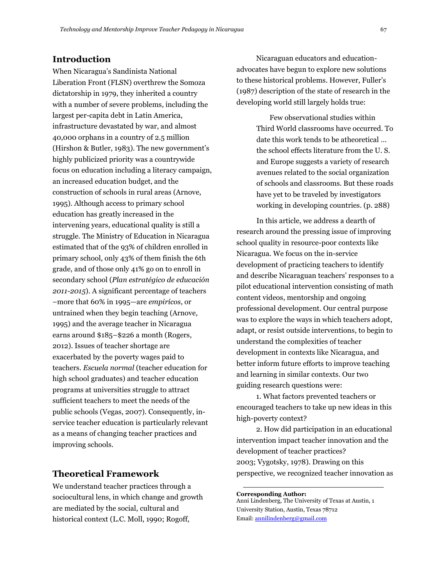### **Introduction**

When Nicaragua's Sandinista National Liberation Front (FLSN) overthrew the Somoza dictatorship in 1979, they inherited a country with a number of severe problems, including the largest per-capita debt in Latin America, infrastructure devastated by war, and almost 40,000 orphans in a country of 2.5 million [\(Hirshon & Butler, 1983\)](#page-18-1). The new government's highly publicized priority was a countrywide focus on education including a literacy campaign, an increased education budget, and the construction of schools in rural areas [\(Arnove,](#page-17-0)  [1995\)](#page-17-0). Although access to primary school education has greatly increased in the intervening years, educational quality is still a struggle. The Ministry of Education in Nicaragua estimated that of the 93% of children enrolled in primary school, only 43% of them finish the 6th grade, and of those only 41% go on to enroll in secondary school (*[Plan estratégico de educación](#page-18-2)  [2011-2015](#page-18-2)*). A significant percentage of teachers –more that 60% in 1995—are *empirícos*, or untrained when they begin teaching [\(Arnove,](#page-17-0)  [1995\)](#page-17-0) and the average teacher in Nicaragua earns around \$185–\$226 a month [\(Rogers,](#page-18-3)  [2012\)](#page-18-3). Issues of teacher shortage are exacerbated by the poverty wages paid to teachers. *Escuela normal* (teacher education for high school graduates) and teacher education programs at universities struggle to attract sufficient teachers to meet the needs of the public schools [\(Vegas, 2007\)](#page-19-1). Consequently, inservice teacher education is particularly relevant as a means of changing teacher practices and improving schools.

### **Theoretical Framework**

We understand teacher practices through a sociocultural lens, in which change and growth are mediated by the social, cultural and historical context [\(L.C. Moll, 1990;](#page-18-5) [Rogoff,](#page-18-6) 

Nicaraguan educators and educationadvocates have begun to explore new solutions to these historical problems. However, Fuller's [\(1987\)](#page-18-4) description of the state of research in the developing world still largely holds true:

> Few observational studies within Third World classrooms have occurred. To date this work tends to be atheoretical … the school effects literature from the U. S. and Europe suggests a variety of research avenues related to the social organization of schools and classrooms. But these roads have yet to be traveled by investigators working in developing countries. (p. 288)

In this article, we address a dearth of research around the pressing issue of improving school quality in resource-poor contexts like Nicaragua. We focus on the in-service development of practicing teachers to identify and describe Nicaraguan teachers' responses to a pilot educational intervention consisting of math content videos, mentorship and ongoing professional development. Our central purpose was to explore the ways in which teachers adopt, adapt, or resist outside interventions, to begin to understand the complexities of teacher development in contexts like Nicaragua, and better inform future efforts to improve teaching and learning in similar contexts. Our two guiding research questions were:

1. What factors prevented teachers or encouraged teachers to take up new ideas in this high-poverty context?

2. How did participation in an educational intervention impact teacher innovation and the development of teacher practices? [2003;](#page-18-6) [Vygotsky, 1978\)](#page-19-2). Drawing on this perspective, we recognized teacher innovation as

**Corresponding Author:** Anni Lindenberg, The University of Texas at Austin, 1 University Station, Austin, Texas 78712 Email[: annilindenberg@gmail.com](mailto:annilindenberg@gmail.com)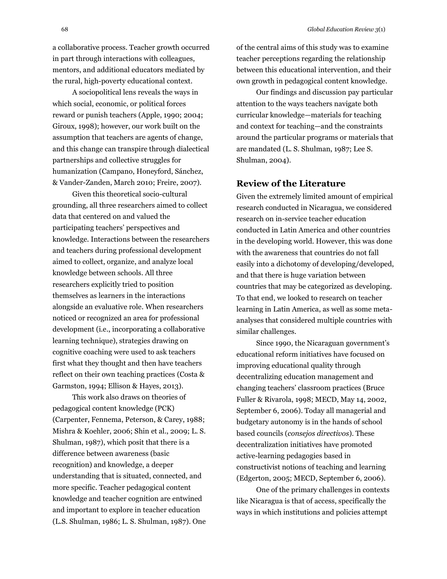a collaborative process. Teacher growth occurred in part through interactions with colleagues, mentors, and additional educators mediated by the rural, high-poverty educational context.

A sociopolitical lens reveals the ways in which social, economic, or political forces reward or punish teachers [\(Apple, 1990; 2004;](#page-17-1) [Giroux, 1998\)](#page-18-7); however, our work built on the assumption that teachers are agents of change, and this change can transpire through dialectical partnerships and collective struggles for humanization ([Campano, Honeyford, Sánchez,](#page-17-2)  [& Vander-Zanden, March 2010;](#page-17-2) [Freire, 2007\)](#page-18-8).

Given this theoretical socio-cultural grounding, all three researchers aimed to collect data that centered on and valued the participating teachers' perspectives and knowledge. Interactions between the researchers and teachers during professional development aimed to collect, organize, and analyze local knowledge between schools. All three researchers explicitly tried to position themselves as learners in the interactions alongside an evaluative role. When researchers noticed or recognized an area for professional development (i.e., incorporating a collaborative learning technique), strategies drawing on cognitive coaching were used to ask teachers first what they thought and then have teachers reflect on their own teaching practices [\(Costa &](#page-17-3)  [Garmston, 1994;](#page-17-3) [Ellison & Hayes, 2013\)](#page-18-9).

This work also draws on theories of pedagogical content knowledge (PCK) [\(Carpenter, Fennema, Peterson, & Carey, 1988;](#page-17-4) [Mishra & Koehler, 2006;](#page-18-10) [Shin et al., 2009;](#page-18-11) [L. S.](#page-19-0)  [Shulman, 1987\)](#page-19-0), which posit that there is a difference between awareness (basic recognition) and knowledge, a deeper understanding that is situated, connected, and more specific. Teacher pedagogical content knowledge and teacher cognition are entwined and important to explore in teacher education [\(L.S. Shulman, 1986;](#page-19-3) [L. S. Shulman, 1987\)](#page-19-0). One of the central aims of this study was to examine teacher perceptions regarding the relationship between this educational intervention, and their own growth in pedagogical content knowledge.

Our findings and discussion pay particular attention to the ways teachers navigate both curricular knowledge—materials for teaching and context for teaching—and the constraints around the particular programs or materials that are mandated [\(L. S. Shulman, 1987;](#page-19-0) [Lee S.](#page-19-4)  [Shulman, 2004\)](#page-19-4).

### **Review of the Literature**

Given the extremely limited amount of empirical research conducted in Nicaragua, we considered research on in-service teacher education conducted in Latin America and other countries in the developing world. However, this was done with the awareness that countries do not fall easily into a dichotomy of developing/developed, and that there is huge variation between countries that may be categorized as developing. To that end, we looked to research on teacher learning in Latin America, as well as some metaanalyses that considered multiple countries with similar challenges.

Since 1990, the Nicaraguan government's educational reform initiatives have focused on improving educational quality through decentralizing education management and changing teachers' classroom practices [\(Bruce](#page-18-12)  [Fuller & Rivarola, 1998;](#page-18-12) [MECD, May 14, 2002,](#page-18-13) [September 6, 2006\)](#page-18-14). Today all managerial and budgetary autonomy is in the hands of school based councils (*consejos directivos*). These decentralization initiatives have promoted active-learning pedagogies based in constructivist notions of teaching and learning [\(Edgerton, 2005;](#page-17-5) [MECD, September 6, 2006\)](#page-18-14).

One of the primary challenges in contexts like Nicaragua is that of access, specifically the ways in which institutions and policies attempt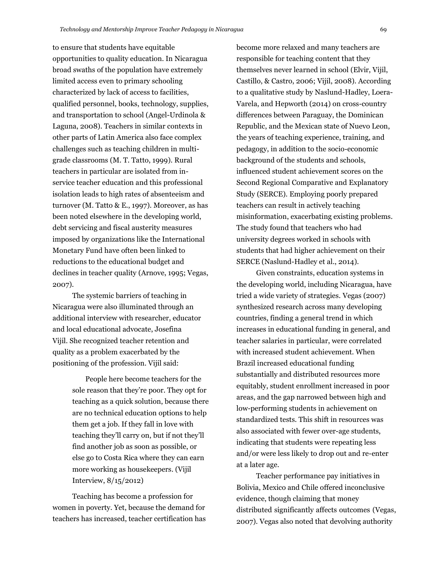to ensure that students have equitable opportunities to quality education. In Nicaragua broad swaths of the population have extremely limited access even to primary schooling characterized by lack of access to facilities, qualified personnel, books, technology, supplies, and transportation to school [\(Angel-Urdinola &](#page-17-6)  [Laguna, 2008\)](#page-17-6). Teachers in similar contexts in other parts of Latin America also face complex challenges such as teaching children in multigrade classrooms [\(M. T. Tatto, 1999\)](#page-19-5). Rural teachers in particular are isolated from inservice teacher education and this professional isolation leads to high rates of absenteeism and turnover [\(M. Tatto & E., 1997\)](#page-19-6). Moreover, as has been noted elsewhere in the developing world, debt servicing and fiscal austerity measures imposed by organizations like the International Monetary Fund have often been linked to reductions to the educational budget and declines in teacher quality [\(Arnove, 1995;](#page-17-0) [Vegas,](#page-19-1)  [2007\)](#page-19-1).

The systemic barriers of teaching in Nicaragua were also illuminated through an additional interview with researcher, educator and local educational advocate, Josefina Vijil. She recognized teacher retention and quality as a problem exacerbated by the positioning of the profession. Vijil said:

> People here become teachers for the sole reason that they're poor. They opt for teaching as a quick solution, because there are no technical education options to help them get a job. If they fall in love with teaching they'll carry on, but if not they'll find another job as soon as possible, or else go to Costa Rica where they can earn more working as housekeepers. (Vijil Interview, 8/15/2012)

Teaching has become a profession for women in poverty. Yet, because the demand for teachers has increased, teacher certification has become more relaxed and many teachers are responsible for teaching content that they themselves never learned in school [\(Elvir, Vijil,](#page-18-15)  [Castillo, & Castro, 2006;](#page-18-15) [Vijil, 2008\)](#page-19-7). According to a qualitative study by [Naslund-Hadley, Loera-](#page-18-16)[Varela, and Hepworth \(2014\)](#page-18-16) on cross-country differences between Paraguay, the Dominican Republic, and the Mexican state of Nuevo Leon, the years of teaching experience, training, and pedagogy, in addition to the socio-economic background of the students and schools, influenced student achievement scores on the Second Regional Comparative and Explanatory Study (SERCE). Employing poorly prepared teachers can result in actively teaching misinformation, exacerbating existing problems. The study found that teachers who had university degrees worked in schools with students that had higher achievement on their SERCE [\(Naslund-Hadley et al., 2014\)](#page-18-16).

Given constraints, education systems in the developing world, including Nicaragua, have tried a wide variety of strategies. [Vegas \(2007\)](#page-19-1) synthesized research across many developing countries, finding a general trend in which increases in educational funding in general, and teacher salaries in particular, were correlated with increased student achievement. When Brazil increased educational funding substantially and distributed resources more equitably, student enrollment increased in poor areas, and the gap narrowed between high and low-performing students in achievement on standardized tests. This shift in resources was also associated with fewer over-age students, indicating that students were repeating less and/or were less likely to drop out and re-enter at a later age.

Teacher performance pay initiatives in Bolivia, Mexico and Chile offered inconclusive evidence, though claiming that money distributed significantly affects outcomes [\(Vegas,](#page-19-1)  [2007\)](#page-19-1). Vegas also noted that devolving authority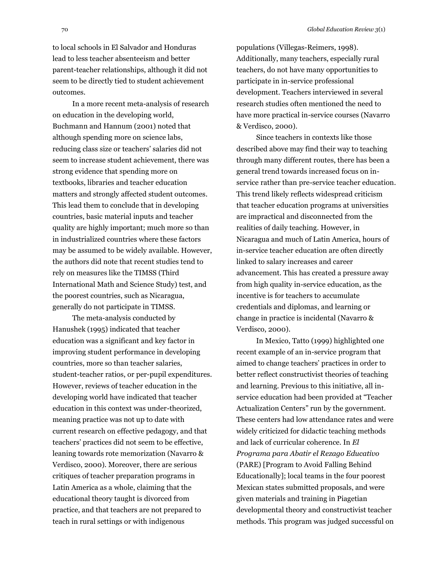to local schools in El Salvador and Honduras lead to less teacher absenteeism and better parent-teacher relationships, although it did not seem to be directly tied to student achievement outcomes.

In a more recent meta-analysis of research on education in the developing world, [Buchmann and Hannum \(2001\)](#page-17-7) noted that although spending more on science labs, reducing class size or teachers' salaries did not seem to increase student achievement, there was strong evidence that spending more on textbooks, libraries and teacher education matters and strongly affected student outcomes. This lead them to conclude that in developing countries, basic material inputs and teacher quality are highly important; much more so than in industrialized countries where these factors may be assumed to be widely available. However, the authors did note that recent studies tend to rely on measures like the TIMSS (Third International Math and Science Study) test, and the poorest countries, such as Nicaragua, generally do not participate in TIMSS.

The meta-analysis conducted by [Hanushek \(1995\)](#page-18-17) indicated that teacher education was a significant and key factor in improving student performance in developing countries, more so than teacher salaries, student-teacher ratios, or per-pupil expenditures. However, reviews of teacher education in the developing world have indicated that teacher education in this context was under-theorized, meaning practice was not up to date with current research on effective pedagogy, and that teachers' practices did not seem to be effective, leaning towards rote memorization [\(Navarro &](#page-18-18)  [Verdisco, 2000\)](#page-18-18). Moreover, there are serious critiques of teacher preparation programs in Latin America as a whole, claiming that the educational theory taught is divorced from practice, and that teachers are not prepared to teach in rural settings or with indigenous

populations [\(Villegas-Reimers, 1998\)](#page-19-8). Additionally, many teachers, especially rural teachers, do not have many opportunities to participate in in-service professional development. Teachers interviewed in several research studies often mentioned the need to have more practical in-service courses [\(Navarro](#page-18-18)  [& Verdisco, 2000\)](#page-18-18).

Since teachers in contexts like those described above may find their way to teaching through many different routes, there has been a general trend towards increased focus on inservice rather than pre-service teacher education. This trend likely reflects widespread criticism that teacher education programs at universities are impractical and disconnected from the realities of daily teaching. However, in Nicaragua and much of Latin America, hours of in-service teacher education are often directly linked to salary increases and career advancement. This has created a pressure away from high quality in-service education, as the incentive is for teachers to accumulate credentials and diplomas, and learning or change in practice is incidental [\(Navarro &](#page-18-18)  [Verdisco, 2000\)](#page-18-18).

In Mexico, Tatto [\(1999\)](#page-19-5) highlighted one recent example of an in-service program that aimed to change teachers' practices in order to better reflect constructivist theories of teaching and learning. Previous to this initiative, all inservice education had been provided at "Teacher Actualization Centers" run by the government. These centers had low attendance rates and were widely criticized for didactic teaching methods and lack of curricular coherence. In *El Programa para Abatir el Rezago Educativo* (PARE) [Program to Avoid Falling Behind Educationally]; local teams in the four poorest Mexican states submitted proposals, and were given materials and training in Piagetian developmental theory and constructivist teacher methods. This program was judged successful on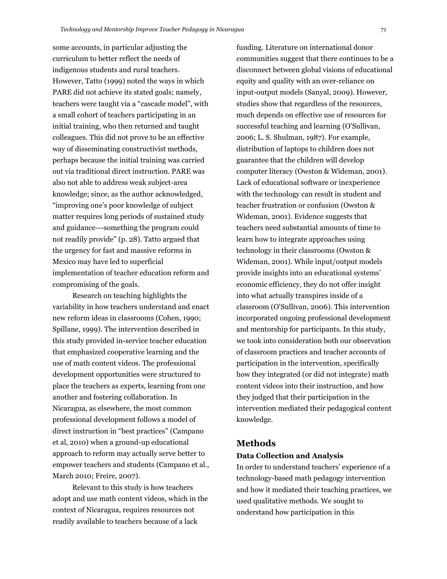some accounts, in particular adjusting the curriculum to better reflect the needs of indigenous students and rural teachers. However, Tatto [\(1999\)](#page-19-5) noted the ways in which PARE did not achieve its stated goals; namely, teachers were taught via a "cascade model", with a small cohort of teachers participating in an initial training, who then returned and taught colleagues. This did not prove to be an effective way of disseminating constructivist methods, perhaps because the initial training was carried out via traditional direct instruction. PARE was also not able to address weak subject-area knowledge; since, as the author acknowledged, "improving one's poor knowledge of subject matter requires long periods of sustained study and guidance---something the program could not readily provide" (p. 28). Tatto argued that the urgency for fast and massive reforms in Mexico may have led to superficial implementation of teacher education reform and compromising of the goals.

Research on teaching highlights the variability in how teachers understand and enact new reform ideas in classrooms [\(Cohen, 1990;](#page-17-8) [Spillane, 1999\)](#page-19-9). The intervention described in this study provided in-service teacher education that emphasized cooperative learning and the use of math content videos. The professional development opportunities were structured to place the teachers as experts, learning from one another and fostering collaboration. In Nicaragua, as elsewhere, the most common professional development follows a model of direct instruction in "best practices" (Campano et al, 2010) when a ground-up educational approach to reform may actually serve better to empower teachers and students [\(Campano et al.,](#page-17-2)  [March 2010;](#page-17-2) [Freire, 2007\)](#page-18-8).

Relevant to this study is how teachers adopt and use math content videos, which in the context of Nicaragua, requires resources not readily available to teachers because of a lack

funding. Literature on international donor communities suggest that there continues to be a disconnect between global visions of educational equity and quality with an over-reliance on input-output models [\(Sanyal, 2009\)](#page-18-19). However, studies show that regardless of the resources, much depends on effective use of resources for successful teaching and learning [\(O'Sullivan,](#page-18-0)  [2006;](#page-18-0) [L. S. Shulman, 1987\)](#page-19-0). For example, distribution of laptops to children does not guarantee that the children will develop computer literacy [\(Owston & Wideman, 2001\)](#page-18-20). Lack of educational software or inexperience with the technology can result in student and teacher frustration or confusion [\(Owston &](#page-18-20) [Wideman, 2001\)](#page-18-20). Evidence suggests that teachers need substantial amounts of time to learn how to integrate approaches using technology in their classrooms [\(Owston &](#page-18-20)  [Wideman,](#page-18-20) 2001). While input/output models provide insights into an educational systems' economic efficiency, they do not offer insight into what actually transpires inside of a classroom [\(O'Sullivan, 2006\)](#page-18-0). This intervention incorporated ongoing professional development and mentorship for participants. In this study, we took into consideration both our observation of classroom practices and teacher accounts of participation in the intervention, specifically how they integrated (or did not integrate) math content videos into their instruction, and how they judged that their participation in the intervention mediated their pedagogical content knowledge.

### **Methods**

#### **Data Collection and Analysis**

In order to understand teachers' experience of a technology-based math pedagogy intervention and how it mediated their teaching practices, we used qualitative methods. We sought to understand how participation in this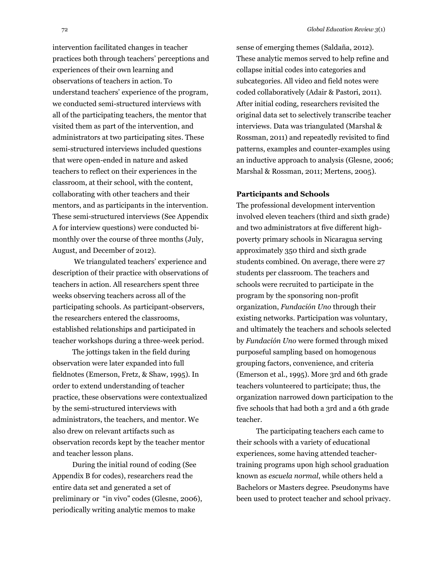intervention facilitated changes in teacher practices both through teachers' perceptions and experiences of their own learning and observations of teachers in action. To understand teachers' experience of the program, we conducted semi-structured interviews with all of the participating teachers, the mentor that visited them as part of the intervention, and administrators at two participating sites. These semi-structured interviews included questions that were open-ended in nature and asked teachers to reflect on their experiences in the classroom, at their school, with the content, collaborating with other teachers and their mentors, and as participants in the intervention. These semi-structured interviews (See Appendix A for interview questions) were conducted bimonthly over the course of three months (July, August, and December of 2012).

We triangulated teachers' experience and description of their practice with observations of teachers in action. All researchers spent three weeks observing teachers across all of the participating schools. As participant-observers, the researchers entered the classrooms, established relationships and participated in teacher workshops during a three-week period.

The jottings taken in the field during observation were later expanded into full fieldnotes [\(Emerson, Fretz, & Shaw, 1995\)](#page-18-21). In order to extend understanding of teacher practice, these observations were contextualized by the semi-structured interviews with administrators, the teachers, and mentor. We also drew on relevant artifacts such as observation records kept by the teacher mentor and teacher lesson plans.

During the initial round of coding (See Appendix B for codes), researchers read the entire data set and generated a set of preliminary or "in vivo" codes [\(Glesne, 2006\)](#page-18-22), periodically writing analytic memos to make

sense of emerging themes [\(Saldaña, 2012\)](#page-18-23). These analytic memos served to help refine and collapse initial codes into categories and subcategories. All video and field notes were coded collaboratively (Adair & Pastori, 2011). After initial coding, researchers revisited the original data set to selectively transcribe teacher interviews. Data was triangulated [\(Marshal &](#page-18-24)  [Rossman, 2011\)](#page-18-24) and repeatedly revisited to find patterns, examples and counter-examples using an inductive approach to analysis [\(Glesne, 2006;](#page-18-22) [Marshal & Rossman, 2011;](#page-18-24) [Mertens, 2005\)](#page-18-25).

#### **Participants and Schools**

The professional development intervention involved eleven teachers (third and sixth grade) and two administrators at five different highpoverty primary schools in Nicaragua serving approximately 350 third and sixth grade students combined. On average, there were 27 students per classroom. The teachers and schools were recruited to participate in the program by the sponsoring non-profit organization, *Fundación Uno* through their existing networks. Participation was voluntary, and ultimately the teachers and schools selected by *Fundación Uno* were formed through mixed purposeful sampling based on homogenous grouping factors, convenience, and criteria [\(Emerson et al., 1995\)](#page-18-21). More 3rd and 6th grade teachers volunteered to participate; thus, the organization narrowed down participation to the five schools that had both a 3rd and a 6th grade teacher.

The participating teachers each came to their schools with a variety of educational experiences, some having attended teachertraining programs upon high school graduation known as *escuela normal*, while others held a Bachelors or Masters degree. Pseudonyms have been used to protect teacher and school privacy.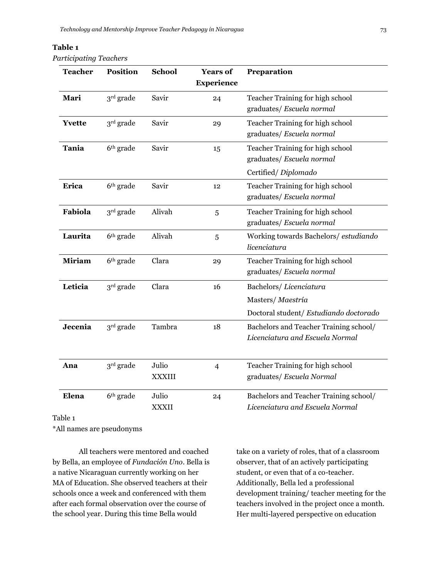### **Table 1**

*Participating Teachers* 

| <b>Teacher</b> | <b>Position</b>       | <b>School</b>          | <b>Years of</b><br><b>Experience</b> | Preparation                                                                          |
|----------------|-----------------------|------------------------|--------------------------------------|--------------------------------------------------------------------------------------|
| Mari           | 3rd grade             | Savir                  | 24                                   | Teacher Training for high school<br>graduates/ Escuela normal                        |
| <b>Yvette</b>  | $3rd$ grade           | Savir                  | 29                                   | Teacher Training for high school<br>graduates/ Escuela normal                        |
| <b>Tania</b>   | 6 <sup>th</sup> grade | Savir                  | 15                                   | Teacher Training for high school<br>graduates/ Escuela normal<br>Certified/Diplomado |
| Erica          | 6 <sup>th</sup> grade | Savir                  | 12                                   | Teacher Training for high school<br>graduates/ Escuela normal                        |
| Fabiola        | 3rd grade             | Alivah                 | 5                                    | Teacher Training for high school<br>graduates/ Escuela normal                        |
| Laurita        | 6 <sup>th</sup> grade | Alivah                 | 5                                    | Working towards Bachelors/estudiando<br>licenciatura                                 |
| <b>Miriam</b>  | 6 <sup>th</sup> grade | Clara                  | 29                                   | Teacher Training for high school<br>graduates/ Escuela normal                        |
| Leticia        | 3 <sup>rd</sup> grade | Clara                  | 16                                   | Bachelors/Licenciatura<br>Masters/Maestría<br>Doctoral student/ Estudiando doctorado |
| Jecenia        | 3 <sup>rd</sup> grade | Tambra                 | 18                                   | Bachelors and Teacher Training school/<br>Licenciatura and Escuela Normal            |
| Ana            | 3 <sup>rd</sup> grade | Julio<br><b>XXXIII</b> | $\overline{4}$                       | Teacher Training for high school<br>graduates/ Escuela Normal                        |
| Elena<br>1.1.1 | 6 <sup>th</sup> grade | Julio<br><b>XXXII</b>  | 24                                   | Bachelors and Teacher Training school/<br>Licenciatura and Escuela Normal            |

Table 1

\*All names are pseudonyms

All teachers were mentored and coached by Bella, an employee of *Fundación Uno*. Bella is a native Nicaraguan currently working on her MA of Education. She observed teachers at their schools once a week and conferenced with them after each formal observation over the course of the school year. During this time Bella would

take on a variety of roles, that of a classroom observer, that of an actively participating student, or even that of a co-teacher. Additionally, Bella led a professional development training/ teacher meeting for the teachers involved in the project once a month. Her multi-layered perspective on education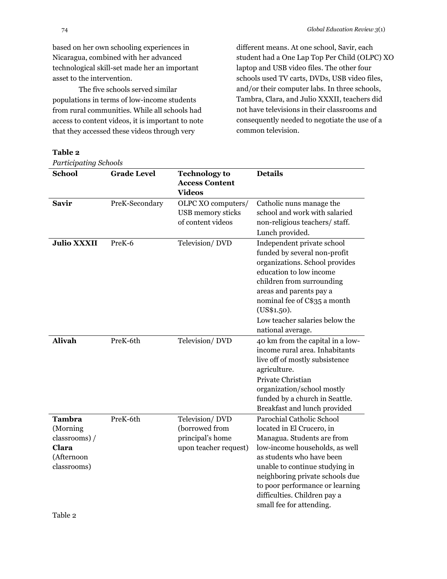based on her own schooling experiences in Nicaragua, combined with her advanced technological skill-set made her an important asset to the intervention.

The five schools served similar populations in terms of low-income students from rural communities. While all schools had access to content videos, it is important to note that they accessed these videos through very

#### **Table 2**

*Participating Schools*

different means. At one school, Savir, each student had a One Lap Top Per Child (OLPC) XO laptop and USB video files. The other four schools used TV carts, DVDs, USB video files, and/or their computer labs. In three schools, Tambra, Clara, and Julio XXXII, teachers did not have televisions in their classrooms and consequently needed to negotiate the use of a common television.

| <b>School</b>                                                                     | <b>Grade Level</b> | <b>Technology to</b><br><b>Access Content</b><br><b>Videos</b>                | <b>Details</b>                                                                                                                                                                                                                                                                                                          |
|-----------------------------------------------------------------------------------|--------------------|-------------------------------------------------------------------------------|-------------------------------------------------------------------------------------------------------------------------------------------------------------------------------------------------------------------------------------------------------------------------------------------------------------------------|
| <b>Savir</b>                                                                      | PreK-Secondary     | OLPC XO computers/<br>USB memory sticks<br>of content videos                  | Catholic nuns manage the<br>school and work with salaried<br>non-religious teachers/staff.<br>Lunch provided.                                                                                                                                                                                                           |
| <b>Julio XXXII</b>                                                                | PreK-6             | Television/DVD                                                                | Independent private school<br>funded by several non-profit<br>organizations. School provides<br>education to low income<br>children from surrounding<br>areas and parents pay a<br>nominal fee of C\$35 a month<br>(US\$1.50).<br>Low teacher salaries below the<br>national average.                                   |
| <b>Alivah</b>                                                                     | PreK-6th           | Television/DVD                                                                | 40 km from the capital in a low-<br>income rural area. Inhabitants<br>live off of mostly subsistence<br>agriculture.<br>Private Christian<br>organization/school mostly<br>funded by a church in Seattle.<br>Breakfast and lunch provided                                                                               |
| <b>Tambra</b><br>(Morning)<br>classrooms) /<br>Clara<br>(Afternoon<br>classrooms) | PreK-6th           | Television/DVD<br>(borrowed from<br>principal's home<br>upon teacher request) | Parochial Catholic School<br>located in El Crucero, in<br>Managua. Students are from<br>low-income households, as well<br>as students who have been<br>unable to continue studying in<br>neighboring private schools due<br>to poor performance or learning<br>difficulties. Children pay a<br>small fee for attending. |

Table 2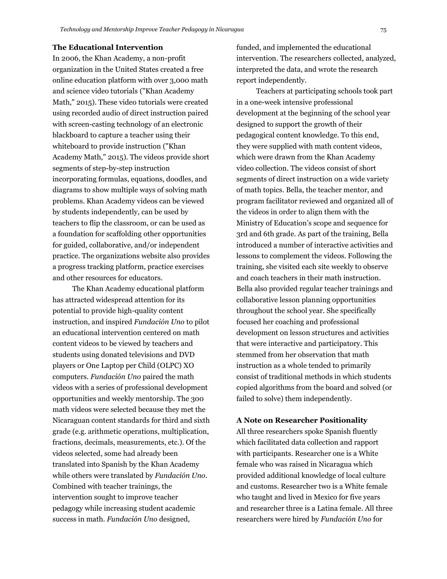#### **The Educational Intervention**

In 2006, the Khan Academy, a non-profit organization in the United States created a free online education platform with over 3,000 math and science video tutorials [\("Khan Academy](#page-18-26)  [Math," 2015\)](#page-18-26). These video tutorials were created using recorded audio of direct instruction paired with screen-casting technology of an electronic blackboard to capture a teacher using their whiteboard to provide instruction [\("Khan](#page-18-26)  [Academy Math," 2015\)](#page-18-26). The videos provide short segments of step-by-step instruction incorporating formulas, equations, doodles, and diagrams to show multiple ways of solving math problems. Khan Academy videos can be viewed by students independently, can be used by teachers to flip the classroom, or can be used as a foundation for scaffolding other opportunities for guided, collaborative, and/or independent practice. The organizations website also provides a progress tracking platform, practice exercises and other resources for educators.

The Khan Academy educational platform has attracted widespread attention for its potential to provide high-quality content instruction, and inspired *Fundación Uno* to pilot an educational intervention centered on math content videos to be viewed by teachers and students using donated televisions and DVD players or One Laptop per Child (OLPC) XO computers. *Fundación Uno* paired the math videos with a series of professional development opportunities and weekly mentorship. The 300 math videos were selected because they met the Nicaraguan content standards for third and sixth grade (e.g. arithmetic operations, multiplication, fractions, decimals, measurements, etc.). Of the videos selected, some had already been translated into Spanish by the Khan Academy while others were translated by *Fundación Uno*. Combined with teacher trainings, the intervention sought to improve teacher pedagogy while increasing student academic success in math. *Fundación Uno* designed,

funded, and implemented the educational intervention. The researchers collected, analyzed, interpreted the data, and wrote the research report independently.

Teachers at participating schools took part in a one-week intensive professional development at the beginning of the school year designed to support the growth of their pedagogical content knowledge. To this end, they were supplied with math content videos, which were drawn from the Khan Academy video collection. The videos consist of short segments of direct instruction on a wide variety of math topics. Bella, the teacher mentor, and program facilitator reviewed and organized all of the videos in order to align them with the Ministry of Education's scope and sequence for 3rd and 6th grade. As part of the training, Bella introduced a number of interactive activities and lessons to complement the videos. Following the training, she visited each site weekly to observe and coach teachers in their math instruction. Bella also provided regular teacher trainings and collaborative lesson planning opportunities throughout the school year. She specifically focused her coaching and professional development on lesson structures and activities that were interactive and participatory. This stemmed from her observation that math instruction as a whole tended to primarily consist of traditional methods in which students copied algorithms from the board and solved (or failed to solve) them independently.

#### **A Note on Researcher Positionality**

All three researchers spoke Spanish fluently which facilitated data collection and rapport with participants. Researcher one is a White female who was raised in Nicaragua which provided additional knowledge of local culture and customs. Researcher two is a White female who taught and lived in Mexico for five years and researcher three is a Latina female. All three researchers were hired by *Fundación Uno* for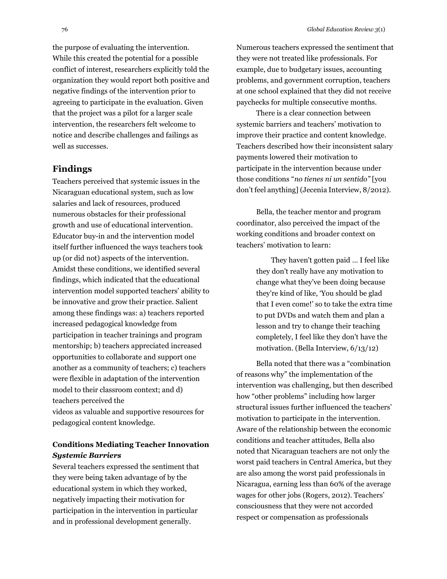the purpose of evaluating the intervention. While this created the potential for a possible conflict of interest, researchers explicitly told the organization they would report both positive and negative findings of the intervention prior to agreeing to participate in the evaluation. Given that the project was a pilot for a larger scale intervention, the researchers felt welcome to notice and describe challenges and failings as well as successes.

### **Findings**

Teachers perceived that systemic issues in the Nicaraguan educational system, such as low salaries and lack of resources, produced numerous obstacles for their professional growth and use of educational intervention. Educator buy-in and the intervention model itself further influenced the ways teachers took up (or did not) aspects of the intervention. Amidst these conditions, we identified several findings, which indicated that the educational intervention model supported teachers' ability to be innovative and grow their practice. Salient among these findings was: a) teachers reported increased pedagogical knowledge from participation in teacher trainings and program mentorship; b) teachers appreciated increased opportunities to collaborate and support one another as a community of teachers; c) teachers were flexible in adaptation of the intervention model to their classroom context; and d) teachers perceived the videos as valuable and supportive resources for pedagogical content knowledge.

### **Conditions Mediating Teacher Innovation** *Systemic Barriers*

Several teachers expressed the sentiment that they were being taken advantage of by the educational system in which they worked, negatively impacting their motivation for participation in the intervention in particular and in professional development generally.

Numerous teachers expressed the sentiment that they were not treated like professionals. For example, due to budgetary issues, accounting problems, and government corruption, teachers at one school explained that they did not receive paychecks for multiple consecutive months.

There is a clear connection between systemic barriers and teachers' motivation to improve their practice and content knowledge. Teachers described how their inconsistent salary payments lowered their motivation to participate in the intervention because under those conditions "*no tienes ni un sentido"* [you don't feel anything] (Jecenia Interview, 8/2012).

Bella, the teacher mentor and program coordinator, also perceived the impact of the working conditions and broader context on teachers' motivation to learn:

> They haven't gotten paid … I feel like they don't really have any motivation to change what they've been doing because they're kind of like, 'You should be glad that I even come!' so to take the extra time to put DVDs and watch them and plan a lesson and try to change their teaching completely, I feel like they don't have the motivation. (Bella Interview, 6/13/12)

Bella noted that there was a "combination of reasons why" the implementation of the intervention was challenging, but then described how "other problems" including how larger structural issues further influenced the teachers' motivation to participate in the intervention. Aware of the relationship between the economic conditions and teacher attitudes, Bella also noted that Nicaraguan teachers are not only the worst paid teachers in Central America, but they are also among the worst paid professionals in Nicaragua, earning less than 60% of the average wages for other jobs (Rogers, 2012). Teachers' consciousness that they were not accorded respect or compensation as professionals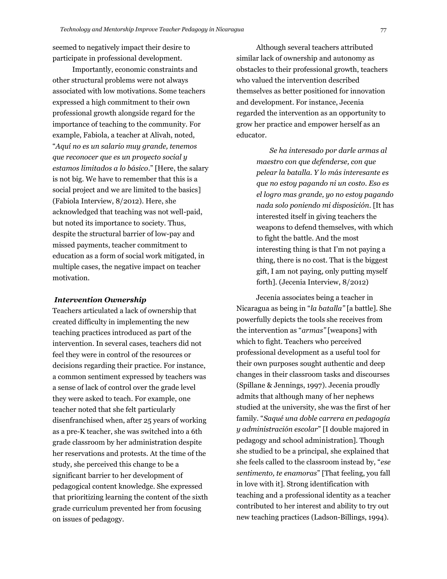seemed to negatively impact their desire to participate in professional development.

Importantly, economic constraints and other structural problems were not always associated with low motivations. Some teachers expressed a high commitment to their own professional growth alongside regard for the importance of teaching to the community. For example, Fabiola, a teacher at Alivah, noted, "*Aquí no es un salario muy grande, tenemos que reconocer que es un proyecto social y estamos limitados a lo básico*." [Here, the salary is not big. We have to remember that this is a social project and we are limited to the basics] (Fabiola Interview, 8/2012). Here, she acknowledged that teaching was not well-paid, but noted its importance to society. Thus, despite the structural barrier of low-pay and missed payments, teacher commitment to education as a form of social work mitigated, in multiple cases, the negative impact on teacher motivation.

#### *Intervention Ownership*

Teachers articulated a lack of ownership that created difficulty in implementing the new teaching practices introduced as part of the intervention. In several cases, teachers did not feel they were in control of the resources or decisions regarding their practice. For instance, a common sentiment expressed by teachers was a sense of lack of control over the grade level they were asked to teach. For example, one teacher noted that she felt particularly disenfranchised when, after 25 years of working as a pre-K teacher, she was switched into a 6th grade classroom by her administration despite her reservations and protests. At the time of the study, she perceived this change to be a significant barrier to her development of pedagogical content knowledge. She expressed that prioritizing learning the content of the sixth grade curriculum prevented her from focusing on issues of pedagogy.

Although several teachers attributed similar lack of ownership and autonomy as obstacles to their professional growth, teachers who valued the intervention described themselves as better positioned for innovation and development. For instance, Jecenia regarded the intervention as an opportunity to grow her practice and empower herself as an educator.

> *Se ha interesado por darle armas al maestro con que defenderse, con que pelear la batalla. Y lo más interesante es que no estoy pagando ni un costo. Eso es el logro mas grande, yo no estoy pagando nada solo poniendo mi disposición.* [It has interested itself in giving teachers the weapons to defend themselves, with which to fight the battle. And the most interesting thing is that I'm not paying a thing, there is no cost. That is the biggest gift, I am not paying, only putting myself forth]. (Jecenia Interview, 8/2012)

Jecenia associates being a teacher in Nicaragua as being in "*la batalla"* [a battle]. She powerfully depicts the tools she receives from the intervention as "*armas"* [weapons] with which to fight. Teachers who perceived professional development as a useful tool for their own purposes sought authentic and deep changes in their classroom tasks and discourses [\(Spillane & Jennings, 1997\)](#page-19-10). Jecenia proudly admits that although many of her nephews studied at the university, she was the first of her family. "*Saqué una doble carrera en pedagogía y administración escolar*" [I double majored in pedagogy and school administration]. Though she studied to be a principal, she explained that she feels called to the classroom instead by, "*ese sentimento, te enamoras*" [That feeling, you fall in love with it]. Strong identification with teaching and a professional identity as a teacher contributed to her interest and ability to try out new teaching practices [\(Ladson-Billings, 1994\)](#page-18-27).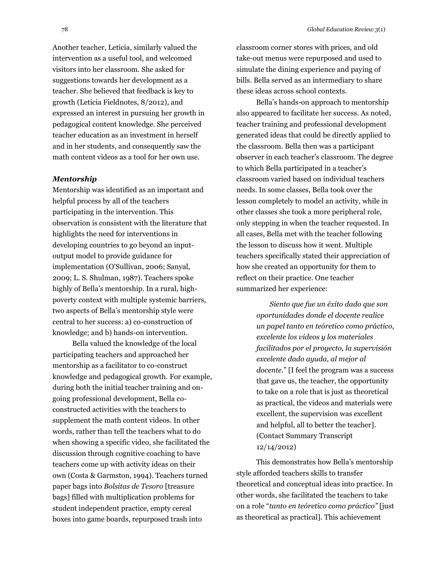Another teacher, Leticia, similarly valued the intervention as a useful tool, and welcomed visitors into her classroom. She asked for suggestions towards her development as a teacher. She believed that feedback is key to growth (Leticia Fieldnotes, 8/2012), and expressed an interest in pursuing her growth in pedagogical content knowledge. She perceived teacher education as an investment in herself and in her students, and consequently saw the math content videos as a tool for her own use.

#### *Mentorship*

Mentorship was identified as an important and helpful process by all of the teachers participating in the intervention. This observation is consistent with the literature that highlights the need for interventions in developing countries to go beyond an inputoutput model to provide guidance for implementation [\(O'Sullivan, 2006;](#page-18-0) [Sanyal,](#page-18-19)  [2009;](#page-18-19) [L. S. Shulman, 1987\)](#page-19-0). Teachers spoke highly of Bella's mentorship. In a rural, highpoverty context with multiple systemic barriers, two aspects of Bella's mentorship style were central to her success: a) co-construction of knowledge; and b) hands-on intervention.

Bella valued the knowledge of the local participating teachers and approached her mentorship as a facilitator to co-construct knowledge and pedagogical growth. For example, during both the initial teacher training and ongoing professional development, Bella coconstructed activities with the teachers to supplement the math content videos. In other words, rather than tell the teachers what to do when showing a specific video, she facilitated the discussion through cognitive coaching to have teachers come up with activity ideas on their own [\(Costa & Garmston, 1994\)](#page-17-3). Teachers turned paper bags into *Bolsitas de Tesoro* [treasure bags] filled with multiplication problems for student independent practice, empty cereal boxes into game boards, repurposed trash into

classroom corner stores with prices, and old take-out menus were repurposed and used to simulate the dining experience and paying of bills. Bella served as an intermediary to share these ideas across school contexts.

Bella's hands-on approach to mentorship also appeared to facilitate her success. As noted, teacher training and professional development generated ideas that could be directly applied to the classroom. Bella then was a participant observer in each teacher's classroom. The degree to which Bella participated in a teacher's classroom varied based on individual teachers needs. In some classes, Bella took over the lesson completely to model an activity, while in other classes she took a more peripheral role, only stepping in when the teacher requested. In all cases, Bella met with the teacher following the lesson to discuss how it went. Multiple teachers specifically stated their appreciation of how she created an opportunity for them to reflect on their practice. One teacher summarized her experience:

> *Siento que fue un éxito dado que son oportunidades donde el docente realice un papel tanto en teóretico como práctico, excelente los videos y los materiales facilitados por el proyecto, la supervisión excelente dado ayuda, al mejor al docente*." [I feel the program was a success that gave us, the teacher, the opportunity to take on a role that is just as theoretical as practical, the videos and materials were excellent, the supervision was excellent and helpful, all to better the teacher]. (Contact Summary Transcript 12/14/2012)

This demonstrates how Bella's mentorship style afforded teachers skills to transfer theoretical and conceptual ideas into practice. In other words, she facilitated the teachers to take on a role "*tanto en teóretico como práctico"* [just as theoretical as practical]. This achievement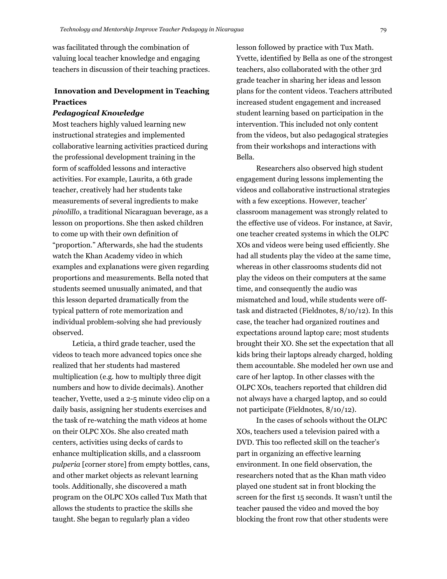was facilitated through the combination of valuing local teacher knowledge and engaging teachers in discussion of their teaching practices.

### **Innovation and Development in Teaching Practices**

#### *Pedagogical Knowledge*

Most teachers highly valued learning new instructional strategies and implemented collaborative learning activities practiced during the professional development training in the form of scaffolded lessons and interactive activities. For example, Laurita, a 6th grade teacher, creatively had her students take measurements of several ingredients to make *pinolillo*, a traditional Nicaraguan beverage, as a lesson on proportions. She then asked children to come up with their own definition of "proportion." Afterwards, she had the students watch the Khan Academy video in which examples and explanations were given regarding proportions and measurements. Bella noted that students seemed unusually animated, and that this lesson departed dramatically from the typical pattern of rote memorization and individual problem-solving she had previously observed.

Leticia, a third grade teacher, used the videos to teach more advanced topics once she realized that her students had mastered multiplication (e.g. how to multiply three digit numbers and how to divide decimals). Another teacher, Yvette, used a 2-5 minute video clip on a daily basis, assigning her students exercises and the task of re-watching the math videos at home on their OLPC XOs. She also created math centers, activities using decks of cards to enhance multiplication skills, and a classroom *pulperia* [corner store] from empty bottles, cans, and other market objects as relevant learning tools. Additionally, she discovered a math program on the OLPC XOs called Tux Math that allows the students to practice the skills she taught. She began to regularly plan a video

lesson followed by practice with Tux Math. Yvette, identified by Bella as one of the strongest teachers, also collaborated with the other 3rd grade teacher in sharing her ideas and lesson plans for the content videos. Teachers attributed increased student engagement and increased student learning based on participation in the intervention. This included not only content from the videos, but also pedagogical strategies from their workshops and interactions with Bella.

Researchers also observed high student engagement during lessons implementing the videos and collaborative instructional strategies with a few exceptions. However, teacher' classroom management was strongly related to the effective use of videos. For instance, at Savir, one teacher created systems in which the OLPC XOs and videos were being used efficiently. She had all students play the video at the same time, whereas in other classrooms students did not play the videos on their computers at the same time, and consequently the audio was mismatched and loud, while students were offtask and distracted (Fieldnotes, 8/10/12). In this case, the teacher had organized routines and expectations around laptop care; most students brought their XO. She set the expectation that all kids bring their laptops already charged, holding them accountable. She modeled her own use and care of her laptop. In other classes with the OLPC XOs, teachers reported that children did not always have a charged laptop, and so could not participate (Fieldnotes, 8/10/12).

In the cases of schools without the OLPC XOs, teachers used a television paired with a DVD. This too reflected skill on the teacher's part in organizing an effective learning environment. In one field observation, the researchers noted that as the Khan math video played one student sat in front blocking the screen for the first 15 seconds. It wasn't until the teacher paused the video and moved the boy blocking the front row that other students were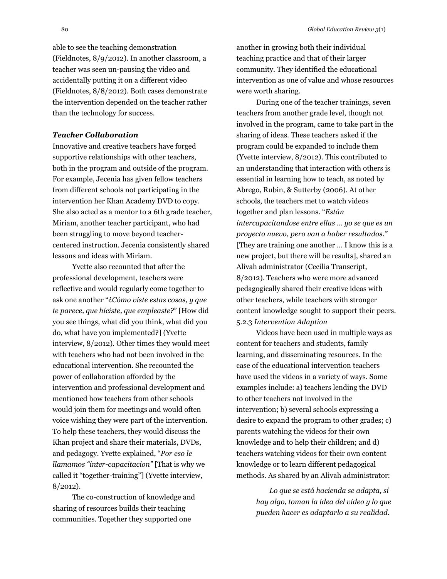able to see the teaching demonstration (Fieldnotes, 8/9/2012). In another classroom, a teacher was seen un-pausing the video and accidentally putting it on a different video (Fieldnotes, 8/8/2012). Both cases demonstrate the intervention depended on the teacher rather than the technology for success.

#### *Teacher Collaboration*

Innovative and creative teachers have forged supportive relationships with other teachers, both in the program and outside of the program. For example, Jecenia has given fellow teachers from different schools not participating in the intervention her Khan Academy DVD to copy. She also acted as a mentor to a 6th grade teacher, Miriam, another teacher participant, who had been struggling to move beyond teachercentered instruction. Jecenia consistently shared lessons and ideas with Miriam.

Yvette also recounted that after the professional development, teachers were reflective and would regularly come together to ask one another "¿*Cómo viste estas cosas, y que te parece, que hiciste, que empleaste?*" [How did you see things, what did you think, what did you do, what have you implemented?] (Yvette interview, 8/2012). Other times they would meet with teachers who had not been involved in the educational intervention. She recounted the power of collaboration afforded by the intervention and professional development and mentioned how teachers from other schools would join them for meetings and would often voice wishing they were part of the intervention. To help these teachers, they would discuss the Khan project and share their materials, DVDs, and pedagogy. Yvette explained, "*Por eso le llamamos "inter-capacitacion"* [That is why we called it "together-training"] (Yvette interview, 8/2012).

The co-construction of knowledge and sharing of resources builds their teaching communities. Together they supported one

another in growing both their individual teaching practice and that of their larger community. They identified the educational intervention as one of value and whose resources were worth sharing.

During one of the teacher trainings, seven teachers from another grade level, though not involved in the program, came to take part in the sharing of ideas. These teachers asked if the program could be expanded to include them (Yvette interview, 8/2012). This contributed to an understanding that interaction with others is essential in learning how to teach, as noted by Abrego, Rubin, & Sutterby (2006). At other schools, the teachers met to watch videos together and plan lessons. "*Están intercapacitandose entre ellas … yo se que es un proyecto nuevo, pero van a haber resultados."* [They are training one another … I know this is a new project, but there will be results], shared an Alivah administrator (Cecilia Transcript, 8/2012). Teachers who were more advanced pedagogically shared their creative ideas with other teachers, while teachers with stronger content knowledge sought to support their peers. 5.2.3 *Intervention Adaption*

Videos have been used in multiple ways as content for teachers and students, family learning, and disseminating resources. In the case of the educational intervention teachers have used the videos in a variety of ways. Some examples include: a) teachers lending the DVD to other teachers not involved in the intervention; b) several schools expressing a desire to expand the program to other grades; c) parents watching the videos for their own knowledge and to help their children; and d) teachers watching videos for their own content knowledge or to learn different pedagogical methods. As shared by an Alivah administrator:

> *Lo que se está hacienda se adapta, si hay algo, toman la idea del video y lo que pueden hacer es adaptarlo a su realidad.*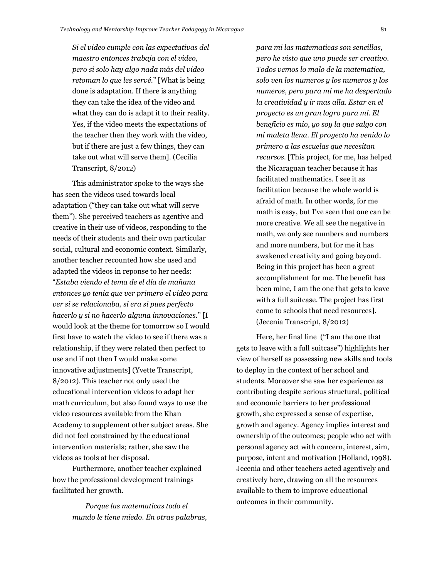*Si el video cumple con las expectativas del maestro entonces trabaja con el video, pero si solo hay algo nada más del video retoman lo que les servé.*" [What is being done is adaptation. If there is anything they can take the idea of the video and what they can do is adapt it to their reality. Yes, if the video meets the expectations of the teacher then they work with the video, but if there are just a few things, they can take out what will serve them]. (Cecilia Transcript, 8/2012)

This administrator spoke to the ways she has seen the videos used towards local adaptation ("they can take out what will serve them"). She perceived teachers as agentive and creative in their use of videos, responding to the needs of their students and their own particular social, cultural and economic context. Similarly, another teacher recounted how she used and adapted the videos in reponse to her needs: "*Estaba viendo el tema de el día de mañana entonces yo tenia que ver primero el video para ver si se relacionaba, si era si pues perfecto hacerlo y si no hacerlo alguna innovaciones.*" [I would look at the theme for tomorrow so I would first have to watch the video to see if there was a relationship, if they were related then perfect to use and if not then I would make some innovative adjustments] (Yvette Transcript, 8/2012). This teacher not only used the educational intervention videos to adapt her math curriculum, but also found ways to use the video resources available from the Khan Academy to supplement other subject areas. She did not feel constrained by the educational intervention materials; rather, she saw the videos as tools at her disposal.

Furthermore, another teacher explained how the professional development trainings facilitated her growth.

> *Porque las matematicas todo el mundo le tiene miedo. En otras palabras,*

*para mi las matematicas son sencillas, pero he visto que uno puede ser creativo. Todos vemos lo malo de la matematica, solo ven los numeros y los numeros y los numeros, pero para mi me ha despertado la creatividad y ir mas alla. Estar en el proyecto es un gran logro para mi. El beneficio es mio, yo soy la que salgo con mi maleta llena. El proyecto ha venido lo primero a las escuelas que necesitan recursos.* [This project, for me, has helped the Nicaraguan teacher because it has facilitated mathematics. I see it as facilitation because the whole world is afraid of math. In other words, for me math is easy, but I've seen that one can be more creative. We all see the negative in math, we only see numbers and numbers and more numbers, but for me it has awakened creativity and going beyond. Being in this project has been a great accomplishment for me. The benefit has been mine, I am the one that gets to leave with a full suitcase. The project has first come to schools that need resources]. (Jecenia Transcript, 8/2012)

Here, her final line ("I am the one that gets to leave with a full suitcase") highlights her view of herself as possessing new skills and tools to deploy in the context of her school and students. Moreover she saw her experience as contributing despite serious structural, political and economic barriers to her professional growth, she expressed a sense of expertise, growth and agency. Agency implies interest and ownership of the outcomes; people who act with personal agency act with concern, interest, aim, purpose, intent and motivation [\(Holland, 1998\)](#page-18-28). Jecenia and other teachers acted agentively and creatively here, drawing on all the resources available to them to improve educational outcomes in their community.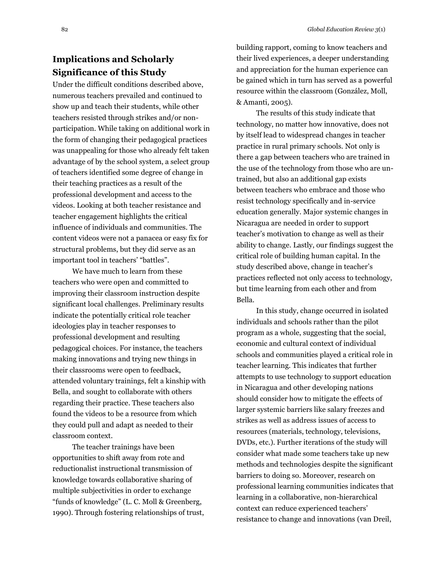# **Implications and Scholarly Significance of this Study**

Under the difficult conditions described above, numerous teachers prevailed and continued to show up and teach their students, while other teachers resisted through strikes and/or nonparticipation. While taking on additional work in the form of changing their pedagogical practices was unappealing for those who already felt taken advantage of by the school system, a select group of teachers identified some degree of change in their teaching practices as a result of the professional development and access to the videos. Looking at both teacher resistance and teacher engagement highlights the critical influence of individuals and communities. The content videos were not a panacea or easy fix for structural problems, but they did serve as an important tool in teachers' "battles".

We have much to learn from these teachers who were open and committed to improving their classroom instruction despite significant local challenges. Preliminary results indicate the potentially critical role teacher ideologies play in teacher responses to professional development and resulting pedagogical choices. For instance, the teachers making innovations and trying new things in their classrooms were open to feedback, attended voluntary trainings, felt a kinship with Bella, and sought to collaborate with others regarding their practice. These teachers also found the videos to be a resource from which they could pull and adapt as needed to their classroom context.

The teacher trainings have been opportunities to shift away from rote and reductionalist instructional transmission of knowledge towards collaborative sharing of multiple subjectivities in order to exchange "funds of knowledge" [\(L. C. Moll & Greenberg,](#page-18-29)  [1990\)](#page-18-29). Through fostering relationships of trust, building rapport, coming to know teachers and their lived experiences, a deeper understanding and appreciation for the human experience can be gained which in turn has served as a powerful resource within the classroom [\(González, Moll,](#page-18-30)  [& Amanti, 2005\)](#page-18-30).

The results of this study indicate that technology, no matter how innovative, does not by itself lead to widespread changes in teacher practice in rural primary schools. Not only is there a gap between teachers who are trained in the use of the technology from those who are untrained, but also an additional gap exists between teachers who embrace and those who resist technology specifically and in-service education generally. Major systemic changes in Nicaragua are needed in order to support teacher's motivation to change as well as their ability to change. Lastly, our findings suggest the critical role of building human capital. In the study described above, change in teacher's practices reflected not only access to technology, but time learning from each other and from Bella.

In this study, change occurred in isolated individuals and schools rather than the pilot program as a whole, suggesting that the social, economic and cultural context of individual schools and communities played a critical role in teacher learning. This indicates that further attempts to use technology to support education in Nicaragua and other developing nations should consider how to mitigate the effects of larger systemic barriers like salary freezes and strikes as well as address issues of access to resources (materials, technology, televisions, DVDs, etc.). Further iterations of the study will consider what made some teachers take up new methods and technologies despite the significant barriers to doing so. Moreover, research on professional learning communities indicates that learning in a collaborative, non-hierarchical context can reduce experienced teachers' resistance to change and innovations [\(van Dreil,](#page-19-11)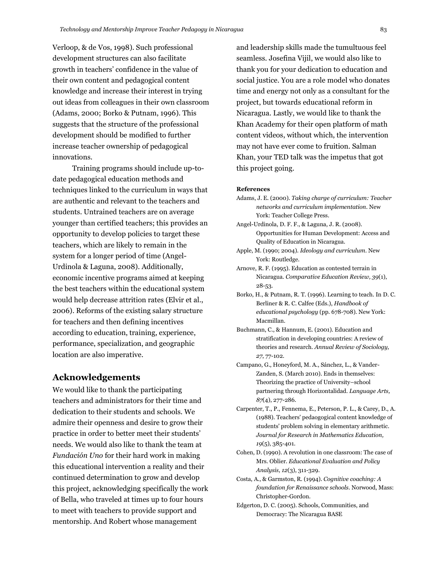[Verloop, & de Vos, 1998\)](#page-19-11). Such professional development structures can also facilitate growth in teachers' confidence in the value of their own content and pedagogical content knowledge and increase their interest in trying out ideas from colleagues in their own classroom [\(Adams, 2000;](#page-17-9) [Borko & Putnam, 1996\)](#page-17-10). This suggests that the structure of the professional development should be modified to further increase teacher ownership of pedagogical innovations.

Training programs should include up-todate pedagogical education methods and techniques linked to the curriculum in ways that are authentic and relevant to the teachers and students. Untrained teachers are on average younger than certified teachers; this provides an opportunity to develop policies to target these teachers, which are likely to remain in the system for a longer period of time [\(Angel-](#page-17-6)[Urdinola & Laguna, 2008\)](#page-17-6). Additionally, economic incentive programs aimed at keeping the best teachers within the educational system would help decrease attrition rates [\(Elvir et al.,](#page-18-15)  [2006\)](#page-18-15). Reforms of the existing salary structure for teachers and then defining incentives according to education, training, experience, performance, specialization, and geographic location are also imperative.

### **Acknowledgements**

We would like to thank the participating teachers and administrators for their time and dedication to their students and schools. We admire their openness and desire to grow their practice in order to better meet their students' needs. We would also like to thank the team at *Fundación Uno* for their hard work in making this educational intervention a reality and their continued determination to grow and develop this project, acknowledging specifically the work of Bella, who traveled at times up to four hours to meet with teachers to provide support and mentorship. And Robert whose management

and leadership skills made the tumultuous feel seamless. Josefina Vijil, we would also like to thank you for your dedication to education and social justice. You are a role model who donates time and energy not only as a consultant for the project, but towards educational reform in Nicaragua. Lastly, we would like to thank the Khan Academy for their open platform of math content videos, without which, the intervention may not have ever come to fruition. Salman Khan, your TED talk was the impetus that got this project going.

#### **References**

- <span id="page-17-9"></span>Adams, J. E. (2000). *Taking charge of curriculum: Teacher networks and curriculum implementation*. New York: Teacher College Press.
- <span id="page-17-6"></span>Angel-Urdinola, D. F. F., & Laguna, J. R. (2008). Opportunities for Human Development: Access and Quality of Education in Nicaragua.
- <span id="page-17-1"></span>Apple, M. (1990; 2004). *Ideology and curriculum*. New York: Routledge.
- <span id="page-17-0"></span>Arnove, R. F. (1995). Education as contested terrain in Nicaragua. *Comparative Education Review, 39*(1), 28-53.
- <span id="page-17-10"></span>Borko, H., & Putnam, R. T. (1996). Learning to teach. In D. C. Berliner & R. C. Calfee (Eds.), *Handbook of educational psychology* (pp. 678-708). New York: Macmillan.
- <span id="page-17-7"></span>Buchmann, C., & Hannum, E. (2001). Education and stratification in developing countries: A review of theories and research. *Annual Review of Sociology, 27*, 77-102.
- <span id="page-17-2"></span>Campano, G., Honeyford, M. A., Sánchez, L., & Vander-Zanden, S. (March 2010). Ends in themselves: Theorizing the practice of University–school partnering through Horizontalidad. *Language Arts, 87*(4), 277-286.
- <span id="page-17-4"></span>Carpenter, T., P., Fennema, E., Peterson, P. L., & Carey, D., A. (1988). Teachers' pedaogogical content knowledge of students' problem solving in elementary arithmetic. *Journal for Research in Mathematics Education, 19*(5), 385-401.
- <span id="page-17-8"></span>Cohen, D. (1990). A revolution in one classroom: The case of Mrs. Oblier. *Educational Evaluation and Policy Analysis, 12*(3), 311-329.
- <span id="page-17-3"></span>Costa, A., & Garmston, R. (1994). *Cognitive coaching: A foundation for Renaissance schools.* Norwood, Mass: Christopher-Gordon.
- <span id="page-17-5"></span>Edgerton, D. C. (2005). Schools, Communities, and Democracy: The Nicaragua BASE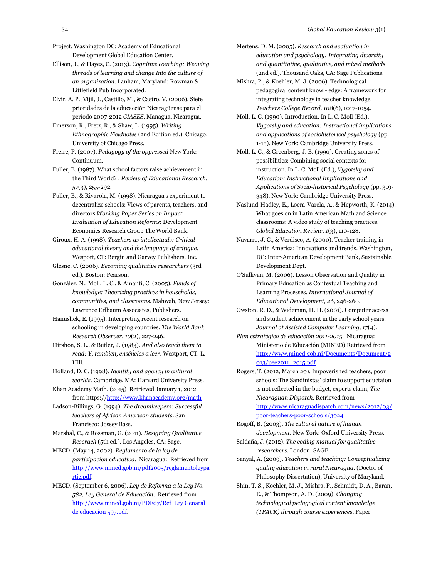Project. Washington DC: Academy of Educational Development Global Education Center.

- <span id="page-18-9"></span>Ellison, J., & Hayes, C. (2013). *Cognitive coaching: Weaving threads of learning and change Into the culture of an organization*. Lanham, Maryland: Rowman & Littlefield Pub Incorporated.
- <span id="page-18-15"></span>Elvir, A. P., Vijil, J., Castillo, M., & Castro, V. (2006). Siete prioridades de la educacción Nicaragüense para el período 2007-2012 *CIASES*. Managua, Nicaragua.
- <span id="page-18-21"></span>Emerson, R., Fretz, R., & Shaw, L. (1995). *Writing Ethnographic Fieldnotes* (2nd Edition ed.). Chicago: University of Chicago Press.
- <span id="page-18-8"></span>Freire, P. (2007). *Pedagogy of the oppressed* New York: Continuum.
- <span id="page-18-4"></span>Fuller, B. (1987). What school factors raise achievement in the Third World? . *Review of Educational Research, 57*(3), 255-292.
- <span id="page-18-12"></span>Fuller, B., & Rivarola, M. (1998). Nicaragua's experiment to decentralize schools: Views of parents, teachers, and directors *Working Paper Series on Impact Evaluation of Education Reforms*: Development Economics Research Group The World Bank.
- <span id="page-18-7"></span>Giroux, H. A. (1998). *Teachers as intellectuals: Critical educational theory and the language of critique*. Wesport, CT: Bergin and Garvey Publishers, Inc.
- <span id="page-18-22"></span>Glesne, C. (2006). *Becoming qualitative researchers* (3rd ed.). Boston: Pearson.
- <span id="page-18-30"></span>González, N., Moll, L. C., & Amanti, C. (2005). *Funds of knowledge: Theorizing practices in households, communities, and classrooms*. Mahwah, New Jersey: Lawrence Erlbaum Associates, Publishers.
- <span id="page-18-17"></span>Hanushek, E. (1995). Interpreting recent research on schooling in developing countries. *The World Bank Research Observer, 10*(2), 227-246.
- <span id="page-18-1"></span>Hirshon, S. L., & Butler, J. (1983). *And also teach them to read: Y, tambien, enséñeles a leer*. Westport, CT: L. Hill.
- <span id="page-18-28"></span>Holland, D. C. (1998). *Identity and agency in cultural worlds*. Cambridge, MA: Harvard University Press.
- <span id="page-18-26"></span>Khan Academy Math. (2015) Retrieved January 1, 2012, from https:/[/http://www.khanacademy.org/math](http://www.khanacademy.org/math)
- <span id="page-18-27"></span>Ladson-Billings, G. (1994). *The dreamkeepers: Successful teachers of African American students*. San Francisco: Jossey Bass.
- <span id="page-18-24"></span>Marshal, C., & Rossman, G. (2011). *Designing Qualitative Reserach* (5th ed.). Los Angeles, CA: Sage.
- <span id="page-18-13"></span>MECD. (May 14, 2002). *Reglamento de la ley de participacion educativa*. Nicaragua: Retrieved from [http://www.mined.gob.ni/pdf2005/reglamentoleypa](http://www.mined.gob.ni/pdf2005/reglamentoleypartic.pdf) [rtic.pdf.](http://www.mined.gob.ni/pdf2005/reglamentoleypartic.pdf)
- <span id="page-18-14"></span>MECD. (September 6, 2006). *Ley de Reforma a la Ley No. 582, Ley General de Educación*. Retrieved from [http://www.mined.gob.ni/PDF07/Ref Ley Genaral](http://www.mined.gob.ni/PDF07/Ref%20%20Ley%20Genaral%20de%20educacion%20597.pdf)  [de educacion 597.pdf.](http://www.mined.gob.ni/PDF07/Ref%20%20Ley%20Genaral%20de%20educacion%20597.pdf)
- <span id="page-18-25"></span>Mertens, D. M. (2005). *Research and evaluation in education and psychology: Integrating diversity and quantitative, qualitative, and mixed methods* (2nd ed.). Thousand Oaks, CA: Sage Publications.
- <span id="page-18-10"></span>Mishra, P., & Koehler, M. J. (2006). Technological pedagogical content knowl- edge: A framework for integrating technology in teacher knowledge. *Teachers College Record, 108*(6), 1017-1054.
- <span id="page-18-5"></span>Moll, L. C. (1990). Introduction. In L. C. Moll (Ed.), *Vygotsky and education: Instructional implications and applications of sociohistorical psychology* (pp. 1-15). New York: Cambridge University Press.
- <span id="page-18-29"></span>Moll, L. C., & Greenberg, J. B. (1990). Creating zones of possibilities: Combining social contexts for instruction. In L. C. Moll (Ed.), *Vygotsky and Education: Instructional Implications and Applications of Socio-historical Psychology* (pp. 319- 348). New York: Cambridge University Press.
- <span id="page-18-16"></span>Naslund-Hadley, E., Loera-Varela, A., & Hepworth, K. (2014). What goes on in Latin American Math and Science classrooms: A video study of teaching practices. *Global Education Review, 1*(3), 110-128.
- <span id="page-18-18"></span>Navarro, J. C., & Verdisco, A. (2000). Teacher training in Latin America: Innovations and trends. Washington, DC: Inter-American Development Bank, Sustainable Development Dept.
- <span id="page-18-0"></span>O'Sullivan, M. (2006). Lesson Observation and Quality in Primary Education as Contextual Teaching and Learning Processes. *International Journal of Educational Development, 26*, 246-260.
- <span id="page-18-20"></span>Owston, R. D., & Wideman, H. H. (2001). Computer access and student achievement in the early school years. *Journal of Assisted Computer Learning, 17*(4).
- <span id="page-18-2"></span>*Plan estratégico de educación 2011-2015*. Nicaragua: Ministerio de Educación (MINED) Retrieved from [http://www.mined.gob.ni/Documents/Document/2](http://www.mined.gob.ni/Documents/Document/2013/pee2011_2015.pdf) [013/pee2011\\_2015.pdf.](http://www.mined.gob.ni/Documents/Document/2013/pee2011_2015.pdf)
- <span id="page-18-3"></span>Rogers, T. (2012, March 20). Impoverished teachers, poor schools: The Sandinistas' claim to support eductaion is not reflected in the budget, experts claim, *The Nicaraguan Dispatch*. Retrieved from [http://www.nicaraguadispatch.com/news/2012/03/](http://www.nicaraguadispatch.com/news/2012/03/poor-teachers-poor-schools/3024) [poor-teachers-poor-schools/3024](http://www.nicaraguadispatch.com/news/2012/03/poor-teachers-poor-schools/3024)

<span id="page-18-6"></span>Rogoff, B. (2003). *The cultural nature of human development*. New York: Oxford University Press.

- <span id="page-18-23"></span>Saldaña, J. (2012). *The coding manual for qualitative researchers*. London: SAGE.
- <span id="page-18-19"></span>Sanyal, A. (2009). *Teachers and teaching: Conceptualizing quality education in rural Nicaragua.* (Doctor of Philosophy Dissertation), University of Maryland.
- <span id="page-18-11"></span>Shin, T. S., Koehler, M. J., Mishra, P., Schmidt, D. A., Baran, E., & Thompson, A. D. (2009). *Changing technological pedagogical content knowledge (TPACK) through course experiences*. Paper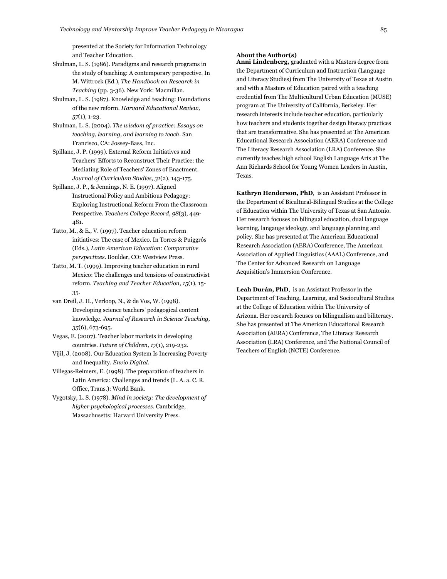presented at the Society for Information Technology and Teacher Education.

- <span id="page-19-3"></span>Shulman, L. S. (1986). Paradigms and research programs in the study of teaching: A contemporary perspective. In M. Wittrock (Ed.), *The Handbook on Research in Teaching* (pp. 3-36). New York: Macmillan.
- <span id="page-19-0"></span>Shulman, L. S. (1987). Knowledge and teaching: Foundations of the new reform. *Harvard Educational Review, 57*(1), 1-23.
- <span id="page-19-4"></span>Shulman, L. S. (2004). *The wisdom of practice: Essays on teaching, learning, and learning to teach*. San Francisco, CA: Jossey-Bass, Inc.
- <span id="page-19-9"></span>Spillane, J. P. (1999). External Reform Initiatives and Teachers' Efforts to Reconstruct Their Practice: the Mediating Role of Teachers' Zones of Enactment. *Journal of Curriculum Studies, 31*(2), 143-175.
- <span id="page-19-10"></span>Spillane, J. P., & Jennings, N. E. (1997). Aligned Instructional Policy and Ambitious Pedagogy: Exploring Instructional Reform From the Classroom Perspective. *Teachers College Record, 98*(3), 449- 481.
- <span id="page-19-6"></span>Tatto, M., & E., V. (1997). Teacher education reform initiatives: The case of Mexico. In Torres & Puiggrós (Eds.), *Latin American Education: Comparative perspectives*. Boulder, CO: Westview Press.
- <span id="page-19-5"></span>Tatto, M. T. (1999). Improving teacher education in rural Mexico: The challenges and tensions of constructivist reform. *Teaching and Teacher Education, 15*(1), 15- 35.
- <span id="page-19-11"></span>van Dreil, J. H., Verloop, N., & de Vos, W. (1998). Developing science teachers' pedagogical content knowledge. *Journal of Research in Science Teaching, 35*(6), 673-695.
- <span id="page-19-1"></span>Vegas, E. (2007). Teacher labor markets in developing countries. *Future of Children, 17*(1), 219-232.
- <span id="page-19-7"></span>Vijil, J. (2008). Our Education System Is Increasing Poverty and Inequality. *Envio Digital*.
- <span id="page-19-8"></span>Villegas-Reimers, E. (1998). The preparation of teachers in Latin America: Challenges and trends (L. A. a. C. R. Office, Trans.): World Bank.
- <span id="page-19-2"></span>Vygotsky, L. S. (1978). *Mind in society: The development of higher psychological processes*. Cambridge, Massachusetts: Harvard University Press.

#### **About the Author(s)**

**Anni Lindenberg,** graduated with a Masters degree from the Department of Curriculum and Instruction (Language and Literacy Studies) from The University of Texas at Austin and with a Masters of Education paired with a teaching credential from The Multicultural Urban Education (MUSE) program at The University of California, Berkeley. Her research interests include teacher education, particularly how teachers and students together design literacy practices that are transformative. She has presented at The American Educational Research Association (AERA) Conference and The Literacy Research Association (LRA) Conference. She currently teaches high school English Language Arts at The Ann Richards School for Young Women Leaders in Austin, Texas.

**Kathryn Henderson, PhD**, is an Assistant Professor in the Department of Bicultural-Bilingual Studies at the College of Education within The University of Texas at San Antonio. Her research focuses on bilingual education, dual language learning, langauge ideology, and language planning and policy. She has presented at The American Educational Research Association (AERA) Conference, The American Association of Applied Linguistics (AAAL) Conference, and The Center for Advanced Research on Language Acquisition's Immersion Conference.

**Leah Durán, PhD**, is an Assistant Professor in the Department of Teaching, Learning, and Sociocultural Studies at the College of Education within The University of Arizona. Her research focuses on bilingualism and biliteracy. She has presented at The American Educational Research Association (AERA) Conference, The Literacy Research Association (LRA) Conference, and The National Council of Teachers of English (NCTE) Conference.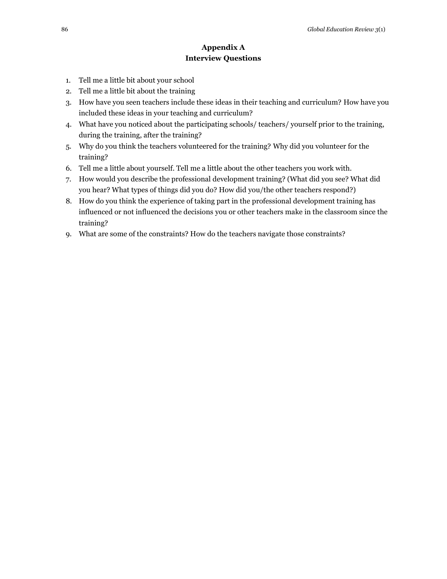### **Appendix A Interview Questions**

- 1. Tell me a little bit about your school
- 2. Tell me a little bit about the training
- 3. How have you seen teachers include these ideas in their teaching and curriculum? How have you included these ideas in your teaching and curriculum?
- 4. What have you noticed about the participating schools/ teachers/ yourself prior to the training, during the training, after the training?
- 5. Why do you think the teachers volunteered for the training? Why did you volunteer for the training?
- 6. Tell me a little about yourself. Tell me a little about the other teachers you work with.
- 7. How would you describe the professional development training? (What did you see? What did you hear? What types of things did you do? How did you/the other teachers respond?)
- 8. How do you think the experience of taking part in the professional development training has influenced or not influenced the decisions you or other teachers make in the classroom since the training?
- 9. What are some of the constraints? How do the teachers navigate those constraints?